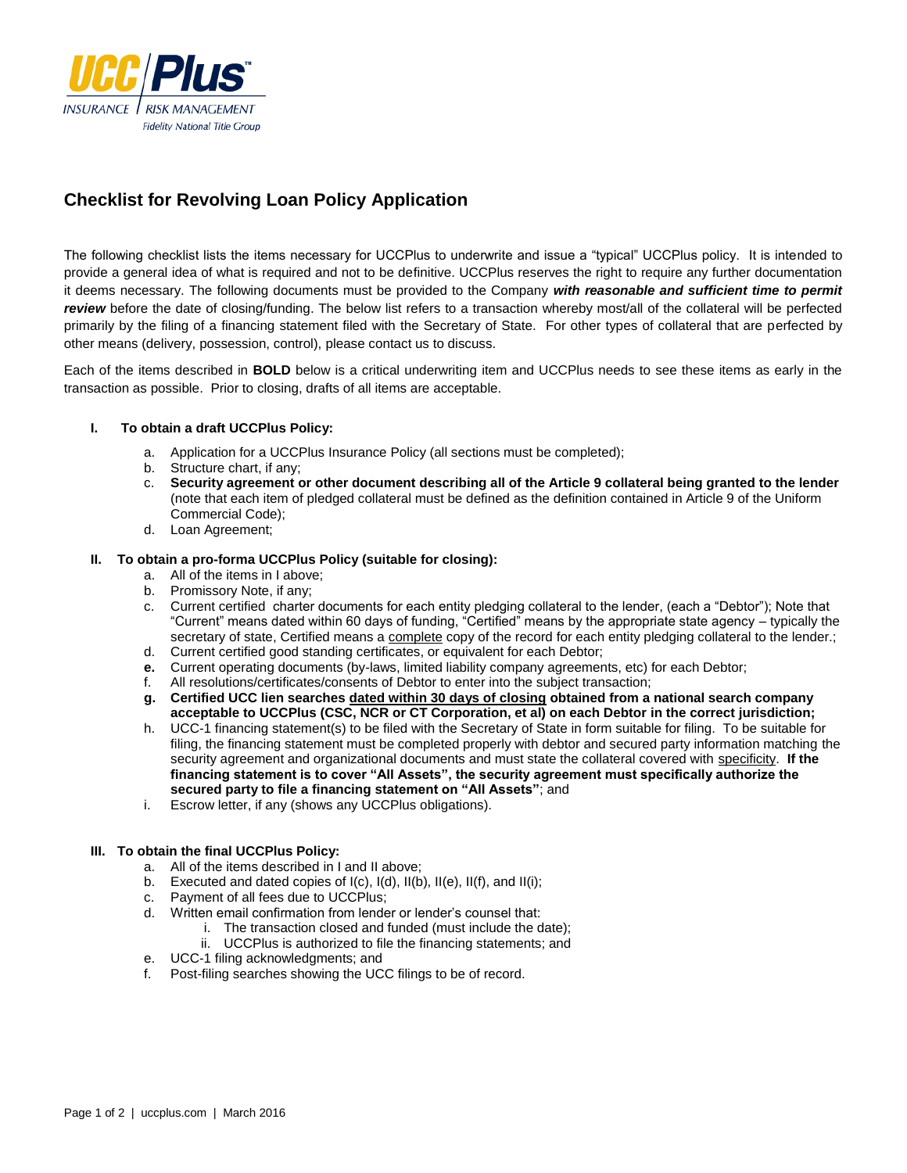

# **Checklist for Revolving Loan Policy Application**

The following checklist lists the items necessary for UCCPlus to underwrite and issue a "typical" UCCPlus policy. It is intended to provide a general idea of what is required and not to be definitive. UCCPlus reserves the right to require any further documentation it deems necessary. The following documents must be provided to the Company *with reasonable and sufficient time to permit review* before the date of closing/funding. The below list refers to a transaction whereby most/all of the collateral will be perfected primarily by the filing of a financing statement filed with the Secretary of State. For other types of collateral that are perfected by other means (delivery, possession, control), please contact us to discuss.

Each of the items described in **BOLD** below is a critical underwriting item and UCCPlus needs to see these items as early in the transaction as possible. Prior to closing, drafts of all items are acceptable.

### **I. To obtain a draft UCCPlus Policy:**

- a. Application for a UCCPlus Insurance Policy (all sections must be completed);
- Structure chart, if any;
- c. **Security agreement or other document describing all of the Article 9 collateral being granted to the lender** (note that each item of pledged collateral must be defined as the definition contained in Article 9 of the Uniform Commercial Code);
- d. Loan Agreement;

#### **II. To obtain a pro-forma UCCPlus Policy (suitable for closing):**

- a. All of the items in I above;
- b. Promissory Note, if any;
- c. Current certified charter documents for each entity pledging collateral to the lender, (each a "Debtor"); Note that "Current" means dated within 60 days of funding, "Certified" means by the appropriate state agency – typically the secretary of state, Certified means a complete copy of the record for each entity pledging collateral to the lender.;
- d. Current certified good standing certificates, or equivalent for each Debtor;
- **e.** Current operating documents (by-laws, limited liability company agreements, etc) for each Debtor;
- f. All resolutions/certificates/consents of Debtor to enter into the subject transaction;
- **g. Certified UCC lien searches dated within 30 days of closing obtained from a national search company acceptable to UCCPlus (CSC, NCR or CT Corporation, et al) on each Debtor in the correct jurisdiction;**
- h. UCC-1 financing statement(s) to be filed with the Secretary of State in form suitable for filing. To be suitable for filing, the financing statement must be completed properly with debtor and secured party information matching the security agreement and organizational documents and must state the collateral covered with specificity. **If the financing statement is to cover "All Assets", the security agreement must specifically authorize the secured party to file a financing statement on "All Assets"**; and
- i. Escrow letter, if any (shows any UCCPlus obligations).

### **III. To obtain the final UCCPlus Policy:**

- a. All of the items described in I and II above;
- b. Executed and dated copies of I(c), I(d), II(b), II(e), II(f), and II(i);
- c. Payment of all fees due to UCCPlus;
- d. Written email confirmation from lender or lender's counsel that:
	- i. The transaction closed and funded (must include the date);
	- ii. UCCPlus is authorized to file the financing statements; and
- e. UCC-1 filing acknowledgments; and
- f. Post-filing searches showing the UCC filings to be of record.